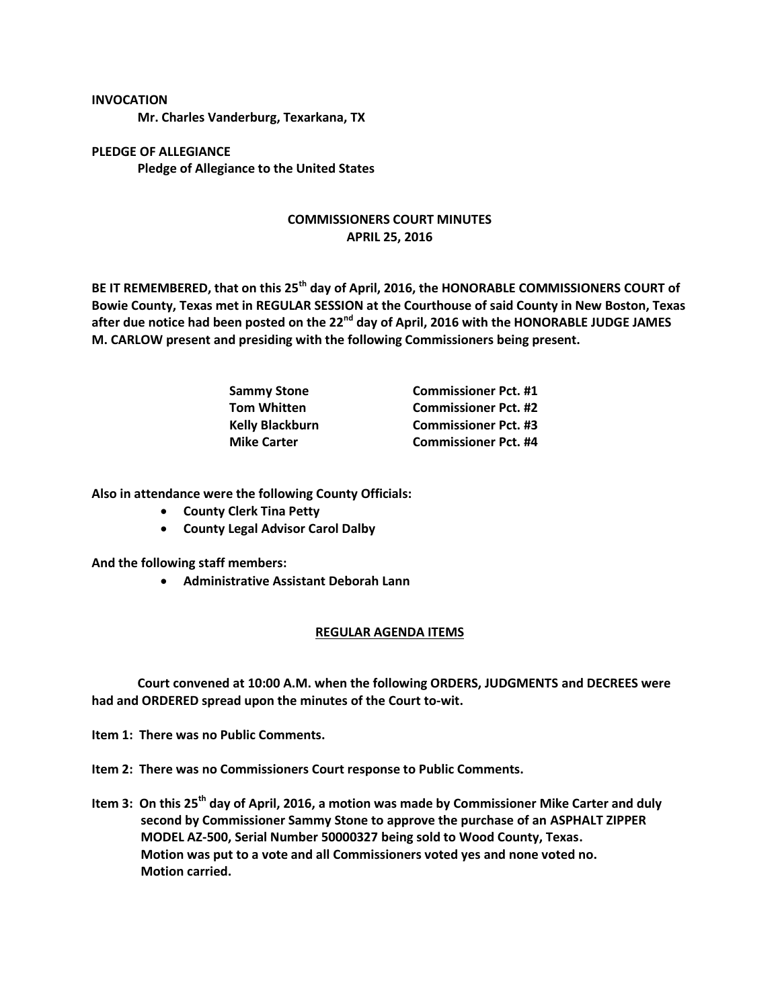## **INVOCATION**

**Mr. Charles Vanderburg, Texarkana, TX**

**PLEDGE OF ALLEGIANCE Pledge of Allegiance to the United States**

## **COMMISSIONERS COURT MINUTES APRIL 25, 2016**

**BE IT REMEMBERED, that on this 25th day of April, 2016, the HONORABLE COMMISSIONERS COURT of Bowie County, Texas met in REGULAR SESSION at the Courthouse of said County in New Boston, Texas after due notice had been posted on the 22nd day of April, 2016 with the HONORABLE JUDGE JAMES M. CARLOW present and presiding with the following Commissioners being present.**

| <b>Sammy Stone</b>     | <b>Commissioner Pct. #1</b> |
|------------------------|-----------------------------|
| <b>Tom Whitten</b>     | <b>Commissioner Pct. #2</b> |
| <b>Kelly Blackburn</b> | <b>Commissioner Pct. #3</b> |
| <b>Mike Carter</b>     | <b>Commissioner Pct. #4</b> |

**Also in attendance were the following County Officials:**

- **•** County Clerk Tina Petty
- **County Legal Advisor Carol Dalby**

**And the following staff members:**

**Administrative Assistant Deborah Lann**

## **REGULAR AGENDA ITEMS**

**Court convened at 10:00 A.M. when the following ORDERS, JUDGMENTS and DECREES were had and ORDERED spread upon the minutes of the Court to-wit.**

**Item 1: There was no Public Comments.**

**Item 2: There was no Commissioners Court response to Public Comments.**

**Item 3: On this 25th day of April, 2016, a motion was made by Commissioner Mike Carter and duly second by Commissioner Sammy Stone to approve the purchase of an ASPHALT ZIPPER MODEL AZ-500, Serial Number 50000327 being sold to Wood County, Texas. Motion was put to a vote and all Commissioners voted yes and none voted no. Motion carried.**